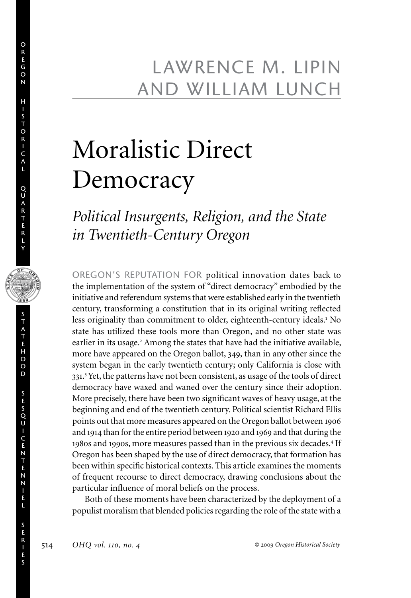### Lawrence m. Lipin and William Lunch

## Moralistic Direct Democracy

### *Political Insurgents, Religion, and the State in Twentieth-Century Oregon*

OREGON'S REPUTATION FOR political innovation dates back to the implementation of the system of "direct democracy" embodied by the initiative and referendum systems that were established early in the twentieth century, transforming a constitution that in its original writing reflected less originality than commitment to older, eighteenth-century ideals.<sup>1</sup> No state has utilized these tools more than Oregon, and no other state was earlier in its usage.<sup>2</sup> Among the states that have had the initiative available, more have appeared on the Oregon ballot, 349, than in any other since the system began in the early twentieth century; only California is close with 331. 3 Yet, the patterns have not been consistent, as usage of the tools of direct democracy have waxed and waned over the century since their adoption. More precisely, there have been two significant waves of heavy usage, at the beginning and end of the twentieth century. Political scientist Richard Ellis points out that more measures appeared on the Oregon ballot between 1906 and 1914 than for the entire period between 1920 and 1969 and that during the 1980s and 1990s, more measures passed than in the previous six decades.<sup>4</sup> If Oregon has been shaped by the use of direct democracy, that formation has been within specific historical contexts. This article examines the moments of frequent recourse to direct democracy, drawing conclusions about the particular influence of moral beliefs on the process.

Both of these moments have been characterized by the deployment of a populist moralism that blended policies regarding the role of the state with a

o r e g o n

h i s t o r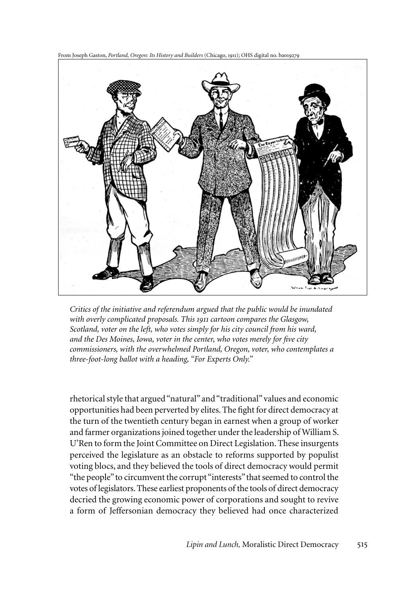From Joseph Gaston, *Portland, Oregon: Its History and Builders* (Chicago, 1911); OHS digital no. ba019279

*Critics of the initiative and referendum argued that the public would be inundated with overly complicated proposals. This 1911 cartoon compares the Glasgow, Scotland, voter on the left, who votes simply for his city council from his ward, and the Des Moines, Iowa, voter in the center, who votes merely for five city commissioners, with the overwhelmed Portland, Oregon, voter, who contemplates a three-foot-long ballot with a heading, "For Experts Only."*

rhetorical style that argued "natural" and "traditional" values and economic opportunities had been perverted by elites. The fight for direct democracy at the turn of the twentieth century began in earnest when a group of worker and farmer organizations joined together under the leadership of William S. U'Ren to form the Joint Committee on Direct Legislation. These insurgents perceived the legislature as an obstacle to reforms supported by populist voting blocs, and they believed the tools of direct democracy would permit "the people" to circumvent the corrupt "interests" that seemed to control the votes of legislators. These earliest proponents of the tools of direct democracy decried the growing economic power of corporations and sought to revive a form of Jeffersonian democracy they believed had once characterized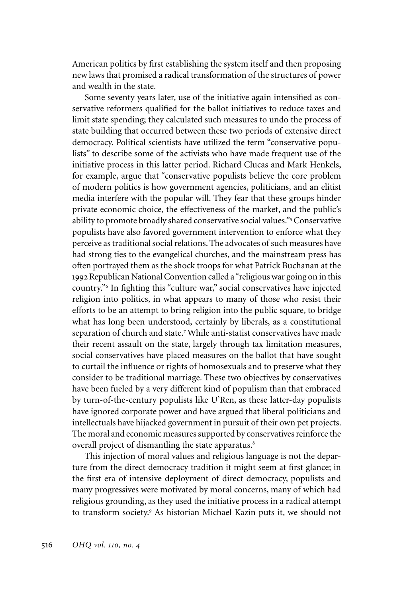American politics by first establishing the system itself and then proposing new laws that promised a radical transformation of the structures of power and wealth in the state.

Some seventy years later, use of the initiative again intensified as conservative reformers qualified for the ballot initiatives to reduce taxes and limit state spending; they calculated such measures to undo the process of state building that occurred between these two periods of extensive direct democracy. Political scientists have utilized the term "conservative populists" to describe some of the activists who have made frequent use of the initiative process in this latter period. Richard Clucas and Mark Henkels, for example, argue that "conservative populists believe the core problem of modern politics is how government agencies, politicians, and an elitist media interfere with the popular will. They fear that these groups hinder private economic choice, the effectiveness of the market, and the public's ability to promote broadly shared conservative social values."<sup>5</sup> Conservative populists have also favored government intervention to enforce what they perceive as traditional social relations. The advocates of such measures have had strong ties to the evangelical churches, and the mainstream press has often portrayed them as the shock troops for what Patrick Buchanan at the 1992 Republican National Convention called a "religious war going on in this country."<sup>6</sup> In fighting this "culture war," social conservatives have injected religion into politics, in what appears to many of those who resist their efforts to be an attempt to bring religion into the public square, to bridge what has long been understood, certainly by liberals, as a constitutional separation of church and state.<sup>7</sup> While anti-statist conservatives have made their recent assault on the state, largely through tax limitation measures, social conservatives have placed measures on the ballot that have sought to curtail the influence or rights of homosexuals and to preserve what they consider to be traditional marriage. These two objectives by conservatives have been fueled by a very different kind of populism than that embraced by turn-of-the-century populists like U'Ren, as these latter-day populists have ignored corporate power and have argued that liberal politicians and intellectuals have hijacked government in pursuit of their own pet projects. The moral and economic measures supported by conservatives reinforce the overall project of dismantling the state apparatus.<sup>8</sup>

This injection of moral values and religious language is not the departure from the direct democracy tradition it might seem at first glance; in the first era of intensive deployment of direct democracy, populists and many progressives were motivated by moral concerns, many of which had religious grounding, as they used the initiative process in a radical attempt to transform society.<sup>9</sup> As historian Michael Kazin puts it, we should not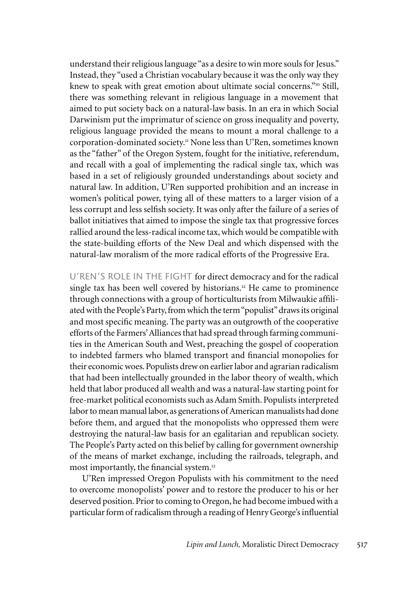understand their religious language "as a desire to win more souls for Jesus." Instead, they "used a Christian vocabulary because it was the only way they knew to speak with great emotion about ultimate social concerns."<sup>10</sup> Still, there was something relevant in religious language in a movement that aimed to put society back on a natural-law basis. In an era in which Social Darwinism put the imprimatur of science on gross inequality and poverty, religious language provided the means to mount a moral challenge to a corporation-dominated society.<sup>11</sup> None less than U'Ren, sometimes known as the "father" of the Oregon System, fought for the initiative, referendum, and recall with a goal of implementing the radical single tax, which was based in a set of religiously grounded understandings about society and natural law. In addition, U'Ren supported prohibition and an increase in women's political power, tying all of these matters to a larger vision of a less corrupt and less selfish society. It was only after the failure of a series of ballot initiatives that aimed to impose the single tax that progressive forces rallied around the less-radical income tax, which would be compatible with the state-building efforts of the New Deal and which dispensed with the natural-law moralism of the more radical efforts of the Progressive Era.

U'REN'S ROLE IN THE FIGHT for direct democracy and for the radical single tax has been well covered by historians.<sup>12</sup> He came to prominence through connections with a group of horticulturists from Milwaukie affiliated with the People's Party, from which the term "populist" draws its original and most specific meaning. The party was an outgrowth of the cooperative efforts of the Farmers' Alliances that had spread through farming communities in the American South and West, preaching the gospel of cooperation to indebted farmers who blamed transport and financial monopolies for their economic woes. Populists drew on earlier labor and agrarian radicalism that had been intellectually grounded in the labor theory of wealth, which held that labor produced all wealth and was a natural-law starting point for free-market political economists such as Adam Smith. Populists interpreted labor to mean manual labor, as generations of American manualists had done before them, and argued that the monopolists who oppressed them were destroying the natural-law basis for an egalitarian and republican society. The People's Party acted on this belief by calling for government ownership of the means of market exchange, including the railroads, telegraph, and most importantly, the financial system.<sup>13</sup>

U'Ren impressed Oregon Populists with his commitment to the need to overcome monopolists' power and to restore the producer to his or her deserved position. Prior to coming to Oregon, he had become imbued with a particular form of radicalism through a reading of Henry George's influential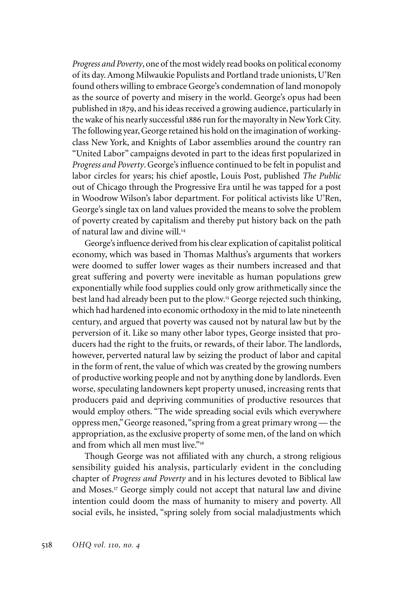*Progress and Poverty*, one of the most widely read books on political economy of its day. Among Milwaukie Populists and Portland trade unionists, U'Ren found others willing to embrace George's condemnation of land monopoly as the source of poverty and misery in the world. George's opus had been published in 1879, and his ideas received a growing audience, particularly in the wake of his nearly successful 1886 run for the mayoralty in New York City. The following year, George retained his hold on the imagination of workingclass New York, and Knights of Labor assemblies around the country ran "United Labor" campaigns devoted in part to the ideas first popularized in *Progress and Poverty*. George's influence continued to be felt in populist and labor circles for years; his chief apostle, Louis Post, published *The Public* out of Chicago through the Progressive Era until he was tapped for a post in Woodrow Wilson's labor department. For political activists like U'Ren, George's single tax on land values provided the means to solve the problem of poverty created by capitalism and thereby put history back on the path of natural law and divine will.<sup>14</sup>

George's influence derived from his clear explication of capitalist political economy, which was based in Thomas Malthus's arguments that workers were doomed to suffer lower wages as their numbers increased and that great suffering and poverty were inevitable as human populations grew exponentially while food supplies could only grow arithmetically since the best land had already been put to the plow.<sup>15</sup> George rejected such thinking, which had hardened into economic orthodoxy in the mid to late nineteenth century, and argued that poverty was caused not by natural law but by the perversion of it. Like so many other labor types, George insisted that producers had the right to the fruits, or rewards, of their labor. The landlords, however, perverted natural law by seizing the product of labor and capital in the form of rent, the value of which was created by the growing numbers of productive working people and not by anything done by landlords. Even worse, speculating landowners kept property unused, increasing rents that producers paid and depriving communities of productive resources that would employ others. "The wide spreading social evils which everywhere oppress men," George reasoned, "spring from a great primary wrong — the appropriation, as the exclusive property of some men, of the land on which and from which all men must live."16

Though George was not affiliated with any church, a strong religious sensibility guided his analysis, particularly evident in the concluding chapter of *Progress and Poverty* and in his lectures devoted to Biblical law and Moses.<sup>17</sup> George simply could not accept that natural law and divine intention could doom the mass of humanity to misery and poverty. All social evils, he insisted, "spring solely from social maladjustments which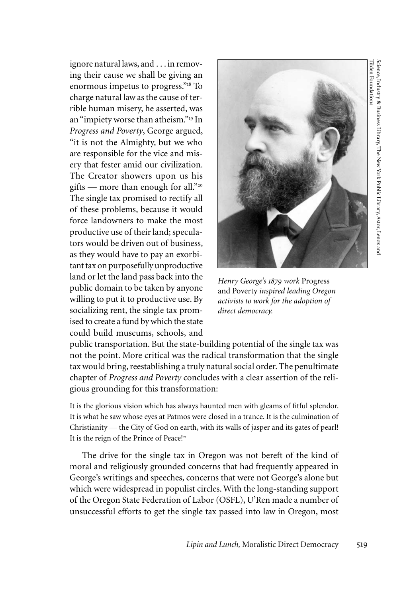ignore natural laws, and . . . in removing their cause we shall be giving an enormous impetus to progress."<sup>18</sup> To charge natural law as the cause of terrible human misery, he asserted, was an "impiety worse than atheism."<sup>19</sup> In *Progress and Poverty*, George argued, "it is not the Almighty, but we who are responsible for the vice and misery that fester amid our civilization. The Creator showers upon us his gifts — more than enough for all."<sup>20</sup> The single tax promised to rectify all of these problems, because it would force landowners to make the most productive use of their land; speculators would be driven out of business, as they would have to pay an exorbitant tax on purposefully unproductive land or let the land pass back into the public domain to be taken by anyone willing to put it to productive use. By socializing rent, the single tax promised to create a fund by which the state could build museums, schools, and



*Henry George's 1879 work* Progress and Poverty *inspired leading Oregon activists to work for the adoption of direct democracy.*

public transportation. But the state-building potential of the single tax was not the point. More critical was the radical transformation that the single tax would bring, reestablishing a truly natural social order. The penultimate chapter of *Progress and Poverty* concludes with a clear assertion of the religious grounding for this transformation:

It is the glorious vision which has always haunted men with gleams of fitful splendor. It is what he saw whose eyes at Patmos were closed in a trance. It is the culmination of Christianity — the City of God on earth, with its walls of jasper and its gates of pearl! It is the reign of the Prince of Peace!<sup>21</sup>

The drive for the single tax in Oregon was not bereft of the kind of moral and religiously grounded concerns that had frequently appeared in George's writings and speeches, concerns that were not George's alone but which were widespread in populist circles. With the long-standing support of the Oregon State Federation of Labor (OSFL), U'Ren made a number of unsuccessful efforts to get the single tax passed into law in Oregon, most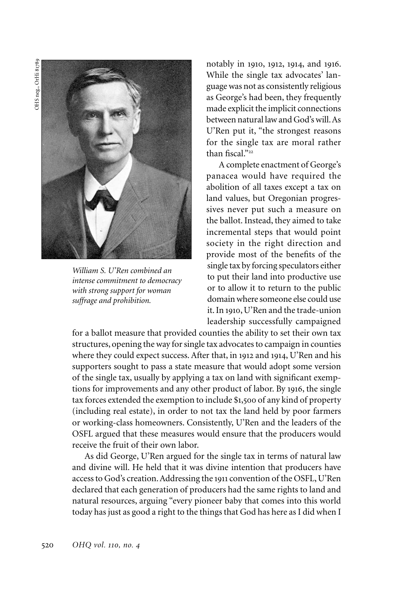OHS neg., OrHi 81789OHS neg., OrHi 81789



*William S. U'Ren combined an intense commitment to democracy with strong support for woman suffrage and prohibition.*

notably in 1910, 1912, 1914, and 1916. While the single tax advocates' language was not as consistently religious as George's had been, they frequently made explicit the implicit connections between natural law and God's will. As U'Ren put it, "the strongest reasons for the single tax are moral rather than fiscal."22

A complete enactment of George's panacea would have required the abolition of all taxes except a tax on land values, but Oregonian progressives never put such a measure on the ballot. Instead, they aimed to take incremental steps that would point society in the right direction and provide most of the benefits of the single tax by forcing speculators either to put their land into productive use or to allow it to return to the public domain where someone else could use it. In 1910, U'Ren and the trade-union leadership successfully campaigned

for a ballot measure that provided counties the ability to set their own tax structures, opening the way for single tax advocates to campaign in counties where they could expect success. After that, in 1912 and 1914, U'Ren and his supporters sought to pass a state measure that would adopt some version of the single tax, usually by applying a tax on land with significant exemptions for improvements and any other product of labor. By 1916, the single tax forces extended the exemption to include \$1,500 of any kind of property (including real estate), in order to not tax the land held by poor farmers or working-class homeowners. Consistently, U'Ren and the leaders of the OSFL argued that these measures would ensure that the producers would receive the fruit of their own labor.

As did George, U'Ren argued for the single tax in terms of natural law and divine will. He held that it was divine intention that producers have access to God's creation. Addressing the 1911 convention of the OSFL, U'Ren declared that each generation of producers had the same rights to land and natural resources, arguing "every pioneer baby that comes into this world today has just as good a right to the things that God has here as I did when I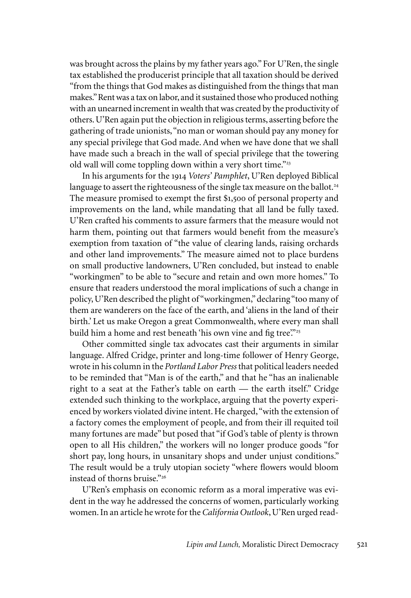was brought across the plains by my father years ago." For U'Ren, the single tax established the producerist principle that all taxation should be derived "from the things that God makes as distinguished from the things that man makes." Rent was a tax on labor, and it sustained those who produced nothing with an unearned increment in wealth that was created by the productivity of others. U'Ren again put the objection in religious terms, asserting before the gathering of trade unionists, "no man or woman should pay any money for any special privilege that God made. And when we have done that we shall have made such a breach in the wall of special privilege that the towering old wall will come toppling down within a very short time."<sup>23</sup>

In his arguments for the 1914 *Voters' Pamphlet*, U'Ren deployed Biblical language to assert the righteousness of the single tax measure on the ballot.<sup>24</sup> The measure promised to exempt the first \$1,500 of personal property and improvements on the land, while mandating that all land be fully taxed. U'Ren crafted his comments to assure farmers that the measure would not harm them, pointing out that farmers would benefit from the measure's exemption from taxation of "the value of clearing lands, raising orchards and other land improvements." The measure aimed not to place burdens on small productive landowners, U'Ren concluded, but instead to enable "workingmen" to be able to "secure and retain and own more homes." To ensure that readers understood the moral implications of such a change in policy, U'Ren described the plight of "workingmen," declaring "too many of them are wanderers on the face of the earth, and 'aliens in the land of their birth.' Let us make Oregon a great Commonwealth, where every man shall build him a home and rest beneath 'his own vine and fig tree'."<sup>25</sup>

Other committed single tax advocates cast their arguments in similar language. Alfred Cridge, printer and long-time follower of Henry George, wrote in his column in the *Portland Labor Press* that political leaders needed to be reminded that "Man is of the earth," and that he "has an inalienable right to a seat at the Father's table on earth — the earth itself." Cridge extended such thinking to the workplace, arguing that the poverty experienced by workers violated divine intent. He charged, "with the extension of a factory comes the employment of people, and from their ill requited toil many fortunes are made" but posed that "if God's table of plenty is thrown open to all His children," the workers will no longer produce goods "for short pay, long hours, in unsanitary shops and under unjust conditions." The result would be a truly utopian society "where flowers would bloom instead of thorns bruise."<sup>26</sup>

U'Ren's emphasis on economic reform as a moral imperative was evident in the way he addressed the concerns of women, particularly working women. In an article he wrote for the *California Outlook*, U'Ren urged read-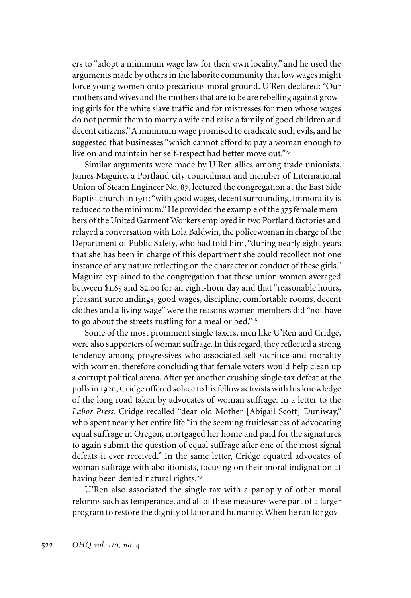ers to "adopt a minimum wage law for their own locality," and he used the arguments made by others in the laborite community that low wages might force young women onto precarious moral ground. U'Ren declared: "Our mothers and wives and the mothers that are to be are rebelling against growing girls for the white slave traffic and for mistresses for men whose wages do not permit them to marry a wife and raise a family of good children and decent citizens." A minimum wage promised to eradicate such evils, and he suggested that businesses "which cannot afford to pay a woman enough to live on and maintain her self-respect had better move out."27

Similar arguments were made by U'Ren allies among trade unionists. James Maguire, a Portland city councilman and member of International Union of Steam Engineer No. 87, lectured the congregation at the East Side Baptist church in 1911: "with good wages, decent surrounding, immorality is reduced to the minimum." He provided the example of the 375 female members of the United Garment Workers employed in two Portland factories and relayed a conversation with Lola Baldwin, the policewoman in charge of the Department of Public Safety, who had told him, "during nearly eight years that she has been in charge of this department she could recollect not one instance of any nature reflecting on the character or conduct of these girls." Maguire explained to the congregation that these union women averaged between \$1.65 and \$2.00 for an eight-hour day and that "reasonable hours, pleasant surroundings, good wages, discipline, comfortable rooms, decent clothes and a living wage" were the reasons women members did "not have to go about the streets rustling for a meal or bed."28

Some of the most prominent single taxers, men like U'Ren and Cridge, were also supporters of woman suffrage. In this regard, they reflected a strong tendency among progressives who associated self-sacrifice and morality with women, therefore concluding that female voters would help clean up a corrupt political arena. After yet another crushing single tax defeat at the polls in 1920, Cridge offered solace to his fellow activists with his knowledge of the long road taken by advocates of woman suffrage. In a letter to the *Labor Press*, Cridge recalled "dear old Mother [Abigail Scott] Duniway," who spent nearly her entire life "in the seeming fruitlessness of advocating equal suffrage in Oregon, mortgaged her home and paid for the signatures to again submit the question of equal suffrage after one of the most signal defeats it ever received." In the same letter, Cridge equated advocates of woman suffrage with abolitionists, focusing on their moral indignation at having been denied natural rights.<sup>29</sup>

U'Ren also associated the single tax with a panoply of other moral reforms such as temperance, and all of these measures were part of a larger program to restore the dignity of labor and humanity. When he ran for gov-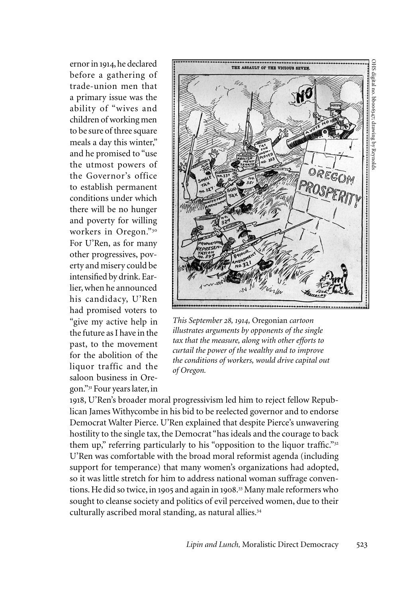ernor in 1914, he declared before a gathering of trade-union men that a primary issue was the ability of "wives and children of working men to be sure of three square meals a day this winter," and he promised to "use the utmost powers of the Governor's office to establish permanent conditions under which there will be no hunger and poverty for willing workers in Oregon."<sup>30</sup> For U'Ren, as for many other progressives, poverty and misery could be intensified by drink. Earlier, when he announced his candidacy, U'Ren had promised voters to "give my active help in the future as I have in the past, to the movement for the abolition of the liquor traffic and the saloon business in Oregon."<sup>31</sup> Four years later, in



*This September 28, 1914,* Oregonian *cartoon illustrates arguments by opponents of the single tax that the measure, along with other efforts to curtail the power of the wealthy and to improve the conditions of workers, would drive capital out of Oregon.* 

1918, U'Ren's broader moral progressivism led him to reject fellow Republican James Withycombe in his bid to be reelected governor and to endorse Democrat Walter Pierce. U'Ren explained that despite Pierce's unwavering hostility to the single tax, the Democrat "has ideals and the courage to back them up," referring particularly to his "opposition to the liquor traffic."<sup>32</sup> U'Ren was comfortable with the broad moral reformist agenda (including support for temperance) that many women's organizations had adopted, so it was little stretch for him to address national woman suffrage conventions. He did so twice, in 1905 and again in 1908. <sup>33</sup> Many male reformers who sought to cleanse society and politics of evil perceived women, due to their culturally ascribed moral standing, as natural allies.<sup>34</sup>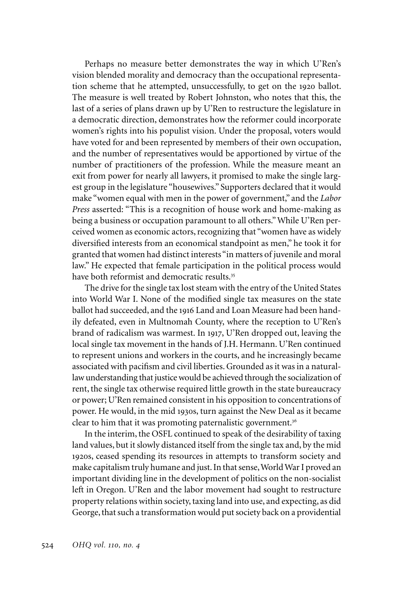Perhaps no measure better demonstrates the way in which U'Ren's vision blended morality and democracy than the occupational representation scheme that he attempted, unsuccessfully, to get on the 1920 ballot. The measure is well treated by Robert Johnston, who notes that this, the last of a series of plans drawn up by U'Ren to restructure the legislature in a democratic direction, demonstrates how the reformer could incorporate women's rights into his populist vision. Under the proposal, voters would have voted for and been represented by members of their own occupation, and the number of representatives would be apportioned by virtue of the number of practitioners of the profession. While the measure meant an exit from power for nearly all lawyers, it promised to make the single largest group in the legislature "housewives." Supporters declared that it would make "women equal with men in the power of government," and the *Labor Press* asserted: "This is a recognition of house work and home-making as being a business or occupation paramount to all others." While U'Ren perceived women as economic actors, recognizing that "women have as widely diversified interests from an economical standpoint as men," he took it for granted that women had distinct interests "in matters of juvenile and moral law." He expected that female participation in the political process would have both reformist and democratic results.<sup>35</sup>

The drive for the single tax lost steam with the entry of the United States into World War I. None of the modified single tax measures on the state ballot had succeeded, and the 1916 Land and Loan Measure had been handily defeated, even in Multnomah County, where the reception to U'Ren's brand of radicalism was warmest. In 1917, U'Ren dropped out, leaving the local single tax movement in the hands of J.H. Hermann. U'Ren continued to represent unions and workers in the courts, and he increasingly became associated with pacifism and civil liberties. Grounded as it was in a naturallaw understanding that justice would be achieved through the socialization of rent, the single tax otherwise required little growth in the state bureaucracy or power; U'Ren remained consistent in his opposition to concentrations of power. He would, in the mid 1930s, turn against the New Deal as it became clear to him that it was promoting paternalistic government.<sup>36</sup>

In the interim, the OSFL continued to speak of the desirability of taxing land values, but it slowly distanced itself from the single tax and, by the mid 1920s, ceased spending its resources in attempts to transform society and make capitalism truly humane and just. In that sense, World War I proved an important dividing line in the development of politics on the non-socialist left in Oregon. U'Ren and the labor movement had sought to restructure property relations within society, taxing land into use, and expecting, as did George, that such a transformation would put society back on a providential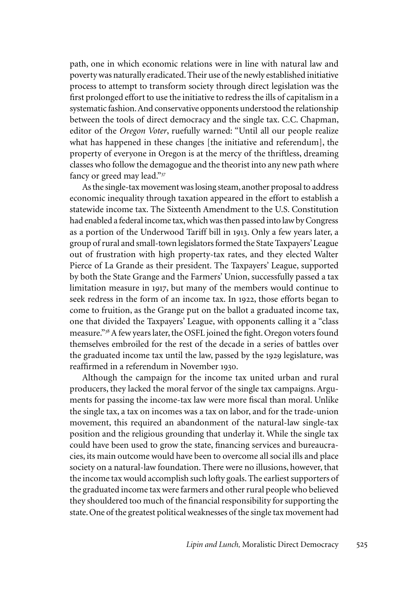path, one in which economic relations were in line with natural law and poverty was naturally eradicated. Their use of the newly established initiative process to attempt to transform society through direct legislation was the first prolonged effort to use the initiative to redress the ills of capitalism in a systematic fashion. And conservative opponents understood the relationship between the tools of direct democracy and the single tax. C.C. Chapman, editor of the *Oregon Voter*, ruefully warned: "Until all our people realize what has happened in these changes [the initiative and referendum], the property of everyone in Oregon is at the mercy of the thriftless, dreaming classes who follow the demagogue and the theorist into any new path where fancy or greed may lead."<sup>37</sup>

As the single-tax movement was losing steam, another proposal to address economic inequality through taxation appeared in the effort to establish a statewide income tax. The Sixteenth Amendment to the U.S. Constitution had enabled a federal income tax, which was then passed into law by Congress as a portion of the Underwood Tariff bill in 1913. Only a few years later, a group of rural and small-town legislators formed the State Taxpayers' League out of frustration with high property-tax rates, and they elected Walter Pierce of La Grande as their president. The Taxpayers' League, supported by both the State Grange and the Farmers' Union, successfully passed a tax limitation measure in 1917, but many of the members would continue to seek redress in the form of an income tax. In 1922, those efforts began to come to fruition, as the Grange put on the ballot a graduated income tax, one that divided the Taxpayers' League, with opponents calling it a "class measure."<sup>38</sup> A few years later, the OSFL joined the fight. Oregon voters found themselves embroiled for the rest of the decade in a series of battles over the graduated income tax until the law, passed by the 1929 legislature, was reaffirmed in a referendum in November 1930.

Although the campaign for the income tax united urban and rural producers, they lacked the moral fervor of the single tax campaigns. Arguments for passing the income-tax law were more fiscal than moral. Unlike the single tax, a tax on incomes was a tax on labor, and for the trade-union movement, this required an abandonment of the natural-law single-tax position and the religious grounding that underlay it. While the single tax could have been used to grow the state, financing services and bureaucracies, its main outcome would have been to overcome all social ills and place society on a natural-law foundation. There were no illusions, however, that the income tax would accomplish such lofty goals. The earliest supporters of the graduated income tax were farmers and other rural people who believed they shouldered too much of the financial responsibility for supporting the state. One of the greatest political weaknesses of the single tax movement had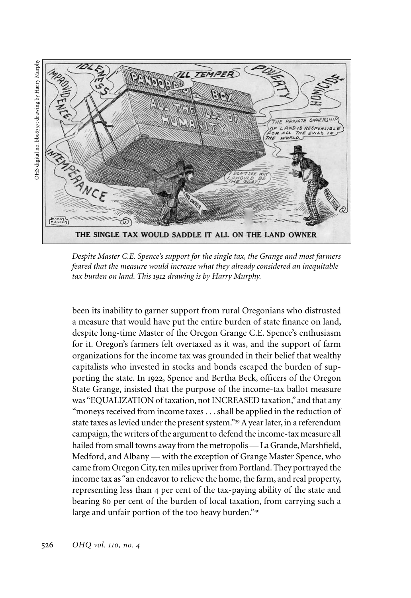OHS digital no. bb06357; drawing by Harry MurphyOHS digital no. bbo6357; drawing by Harry Murphy



*Despite Master C.E. Spence's support for the single tax, the Grange and most farmers feared that the measure would increase what they already considered an inequitable tax burden on land. This 1912 drawing is by Harry Murphy.*

been its inability to garner support from rural Oregonians who distrusted a measure that would have put the entire burden of state finance on land, despite long-time Master of the Oregon Grange C.E. Spence's enthusiasm for it. Oregon's farmers felt overtaxed as it was, and the support of farm organizations for the income tax was grounded in their belief that wealthy capitalists who invested in stocks and bonds escaped the burden of supporting the state. In 1922, Spence and Bertha Beck, officers of the Oregon State Grange, insisted that the purpose of the income-tax ballot measure was "EQUALIZATION of taxation, not INCREASED taxation," and that any "moneys received from income taxes . . . shall be applied in the reduction of state taxes as levied under the present system."<sup>39</sup> A year later, in a referendum campaign, the writers of the argument to defend the income-tax measure all hailed from small towns away from the metropolis — La Grande, Marshfield, Medford, and Albany — with the exception of Grange Master Spence, who came from Oregon City, ten miles upriver from Portland. They portrayed the income tax as "an endeavor to relieve the home, the farm, and real property, representing less than 4 per cent of the tax-paying ability of the state and bearing 80 per cent of the burden of local taxation, from carrying such a large and unfair portion of the too heavy burden."<sup>40</sup>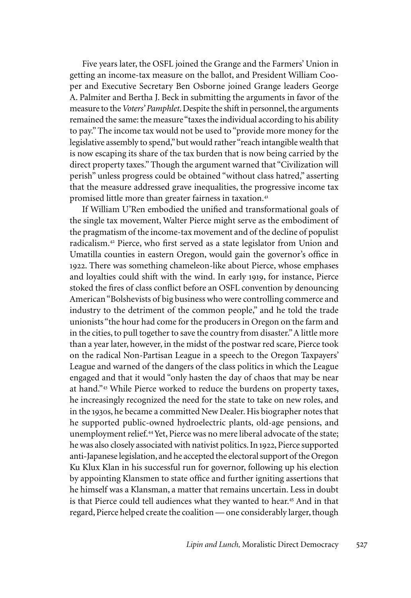Five years later, the OSFL joined the Grange and the Farmers' Union in getting an income-tax measure on the ballot, and President William Cooper and Executive Secretary Ben Osborne joined Grange leaders George A. Palmiter and Bertha J. Beck in submitting the arguments in favor of the measure to the *Voters' Pamphlet*. Despite the shift in personnel, the arguments remained the same: the measure "taxes the individual according to his ability to pay." The income tax would not be used to "provide more money for the legislative assembly to spend," but would rather "reach intangible wealth that is now escaping its share of the tax burden that is now being carried by the direct property taxes." Though the argument warned that "Civilization will perish" unless progress could be obtained "without class hatred," asserting that the measure addressed grave inequalities, the progressive income tax promised little more than greater fairness in taxation.<sup>41</sup>

If William U'Ren embodied the unified and transformational goals of the single tax movement, Walter Pierce might serve as the embodiment of the pragmatism of the income-tax movement and of the decline of populist radicalism.<sup>42</sup> Pierce, who first served as a state legislator from Union and Umatilla counties in eastern Oregon, would gain the governor's office in 1922. There was something chameleon-like about Pierce, whose emphases and loyalties could shift with the wind. In early 1919, for instance, Pierce stoked the fires of class conflict before an OSFL convention by denouncing American "Bolshevists of big business who were controlling commerce and industry to the detriment of the common people," and he told the trade unionists "the hour had come for the producers in Oregon on the farm and in the cities, to pull together to save the country from disaster." A little more than a year later, however, in the midst of the postwar red scare, Pierce took on the radical Non-Partisan League in a speech to the Oregon Taxpayers' League and warned of the dangers of the class politics in which the League engaged and that it would "only hasten the day of chaos that may be near at hand."<sup>43</sup> While Pierce worked to reduce the burdens on property taxes, he increasingly recognized the need for the state to take on new roles, and in the 1930s, he became a committed New Dealer. His biographer notes that he supported public-owned hydroelectric plants, old-age pensions, and unemployment relief.<sup>44</sup> Yet, Pierce was no mere liberal advocate of the state; he was also closely associated with nativist politics. In 1922, Pierce supported anti-Japanese legislation, and he accepted the electoral support of the Oregon Ku Klux Klan in his successful run for governor, following up his election by appointing Klansmen to state office and further igniting assertions that he himself was a Klansman, a matter that remains uncertain. Less in doubt is that Pierce could tell audiences what they wanted to hear.<sup>45</sup> And in that regard, Pierce helped create the coalition — one considerably larger, though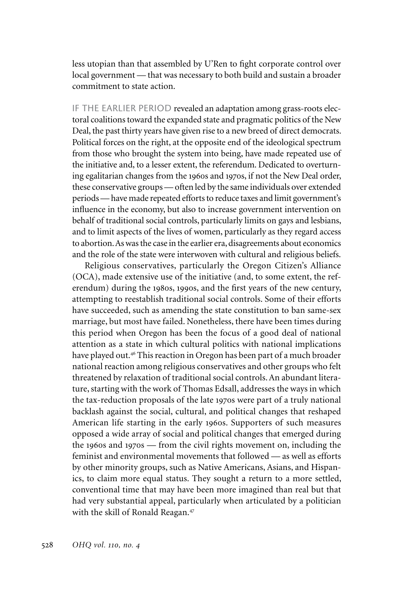less utopian than that assembled by U'Ren to fight corporate control over local government — that was necessary to both build and sustain a broader commitment to state action.

IF THE EARLIER PERIOD revealed an adaptation among grass-roots electoral coalitions toward the expanded state and pragmatic politics of the New Deal, the past thirty years have given rise to a new breed of direct democrats. Political forces on the right, at the opposite end of the ideological spectrum from those who brought the system into being, have made repeated use of the initiative and, to a lesser extent, the referendum. Dedicated to overturning egalitarian changes from the 1960s and 1970s, if not the New Deal order, these conservative groups — often led by the same individuals over extended periods — have made repeated efforts to reduce taxes and limit government's influence in the economy, but also to increase government intervention on behalf of traditional social controls, particularly limits on gays and lesbians, and to limit aspects of the lives of women, particularly as they regard access to abortion. As was the case in the earlier era, disagreements about economics and the role of the state were interwoven with cultural and religious beliefs.

Religious conservatives, particularly the Oregon Citizen's Alliance (OCA), made extensive use of the initiative (and, to some extent, the referendum) during the 1980s, 1990s, and the first years of the new century, attempting to reestablish traditional social controls. Some of their efforts have succeeded, such as amending the state constitution to ban same-sex marriage, but most have failed. Nonetheless, there have been times during this period when Oregon has been the focus of a good deal of national attention as a state in which cultural politics with national implications have played out.<sup>46</sup> This reaction in Oregon has been part of a much broader national reaction among religious conservatives and other groups who felt threatened by relaxation of traditional social controls. An abundant literature, starting with the work of Thomas Edsall, addresses the ways in which the tax-reduction proposals of the late 1970s were part of a truly national backlash against the social, cultural, and political changes that reshaped American life starting in the early 1960s. Supporters of such measures opposed a wide array of social and political changes that emerged during the 1960s and 1970s — from the civil rights movement on, including the feminist and environmental movements that followed — as well as efforts by other minority groups, such as Native Americans, Asians, and Hispanics, to claim more equal status. They sought a return to a more settled, conventional time that may have been more imagined than real but that had very substantial appeal, particularly when articulated by a politician with the skill of Ronald Reagan.<sup>47</sup>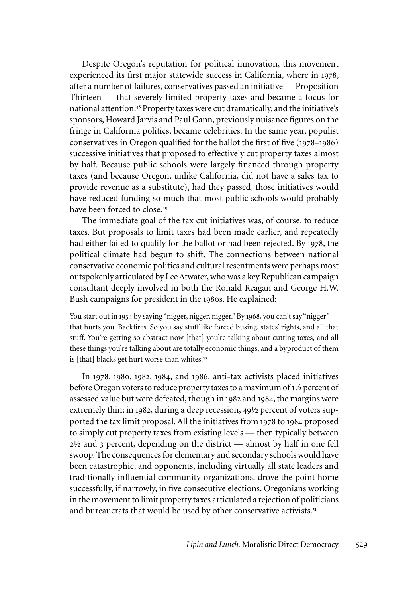Despite Oregon's reputation for political innovation, this movement experienced its first major statewide success in California, where in 1978, after a number of failures, conservatives passed an initiative — Proposition Thirteen — that severely limited property taxes and became a focus for national attention.<sup>48</sup> Property taxes were cut dramatically, and the initiative's sponsors, Howard Jarvis and Paul Gann, previously nuisance figures on the fringe in California politics, became celebrities. In the same year, populist conservatives in Oregon qualified for the ballot the first of five (1978–1986) successive initiatives that proposed to effectively cut property taxes almost by half. Because public schools were largely financed through property taxes (and because Oregon, unlike California, did not have a sales tax to provide revenue as a substitute), had they passed, those initiatives would have reduced funding so much that most public schools would probably have been forced to close.<sup>49</sup>

The immediate goal of the tax cut initiatives was, of course, to reduce taxes. But proposals to limit taxes had been made earlier, and repeatedly had either failed to qualify for the ballot or had been rejected. By 1978, the political climate had begun to shift. The connections between national conservative economic politics and cultural resentments were perhaps most outspokenly articulated by Lee Atwater, who was a key Republican campaign consultant deeply involved in both the Ronald Reagan and George H.W. Bush campaigns for president in the 1980s. He explained:

You start out in 1954 by saying "nigger, nigger, nigger." By 1968, you can't say "nigger" that hurts you. Backfires. So you say stuff like forced busing, states' rights, and all that stuff. You're getting so abstract now [that] you're talking about cutting taxes, and all these things you're talking about are totally economic things, and a byproduct of them is [that] blacks get hurt worse than whites.<sup>50</sup>

In 1978, 1980, 1982, 1984, and 1986, anti-tax activists placed initiatives before Oregon voters to reduce property taxes to a maximum of 1½ percent of assessed value but were defeated, though in 1982 and 1984, the margins were extremely thin; in 1982, during a deep recession, 49½ percent of voters supported the tax limit proposal. All the initiatives from 1978 to 1984 proposed to simply cut property taxes from existing levels — then typically between 2½ and 3 percent, depending on the district — almost by half in one fell swoop. The consequences for elementary and secondary schools would have been catastrophic, and opponents, including virtually all state leaders and traditionally influential community organizations, drove the point home successfully, if narrowly, in five consecutive elections. Oregonians working in the movement to limit property taxes articulated a rejection of politicians and bureaucrats that would be used by other conservative activists.<sup>51</sup>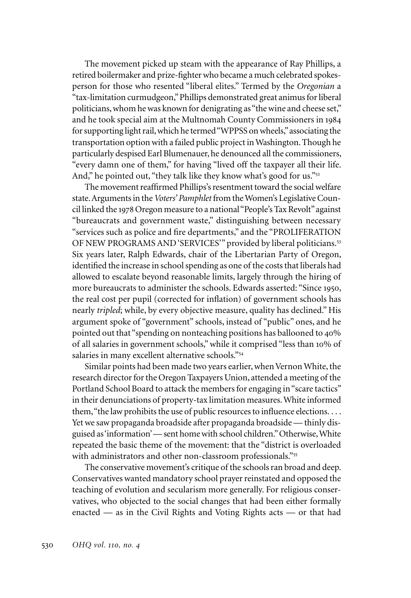The movement picked up steam with the appearance of Ray Phillips, a retired boilermaker and prize-fighter who became a much celebrated spokesperson for those who resented "liberal elites." Termed by the *Oregonian* a "tax-limitation curmudgeon," Phillips demonstrated great animus for liberal politicians, whom he was known for denigrating as "the wine and cheese set," and he took special aim at the Multnomah County Commissioners in 1984 for supporting light rail, which he termed "WPPSS on wheels," associating the transportation option with a failed public project in Washington. Though he particularly despised Earl Blumenauer, he denounced all the commissioners, "every damn one of them," for having "lived off the taxpayer all their life. And," he pointed out, "they talk like they know what's good for us."<sup>52</sup>

The movement reaffirmed Phillips's resentment toward the social welfare state. Arguments in the *Voters' Pamphlet* from the Women's Legislative Council linked the 1978 Oregon measure to a national "People's Tax Revolt" against "bureaucrats and government waste," distinguishing between necessary "services such as police and fire departments," and the "PROLIFERATION OF NEW PROGRAMS AND 'SERVICES'" provided by liberal politicians.<sup>53</sup> Six years later, Ralph Edwards, chair of the Libertarian Party of Oregon, identified the increase in school spending as one of the costs that liberals had allowed to escalate beyond reasonable limits, largely through the hiring of more bureaucrats to administer the schools. Edwards asserted: "Since 1950, the real cost per pupil (corrected for inflation) of government schools has nearly *tripled*; while, by every objective measure, quality has declined." His argument spoke of "government" schools, instead of "public" ones, and he pointed out that "spending on nonteaching positions has ballooned to 40% of all salaries in government schools," while it comprised "less than 10% of salaries in many excellent alternative schools."<sup>54</sup>

Similar points had been made two years earlier, when Vernon White, the research director for the Oregon Taxpayers Union, attended a meeting of the Portland School Board to attack the members for engaging in "scare tactics" in their denunciations of property-tax limitation measures. White informed them, "the law prohibits the use of public resources to influence elections. . . . Yet we saw propaganda broadside after propaganda broadside — thinly disguised as 'information' — sent home with school children." Otherwise, White repeated the basic theme of the movement: that the "district is overloaded with administrators and other non-classroom professionals."55

The conservative movement's critique of the schools ran broad and deep. Conservatives wanted mandatory school prayer reinstated and opposed the teaching of evolution and secularism more generally. For religious conservatives, who objected to the social changes that had been either formally enacted — as in the Civil Rights and Voting Rights acts — or that had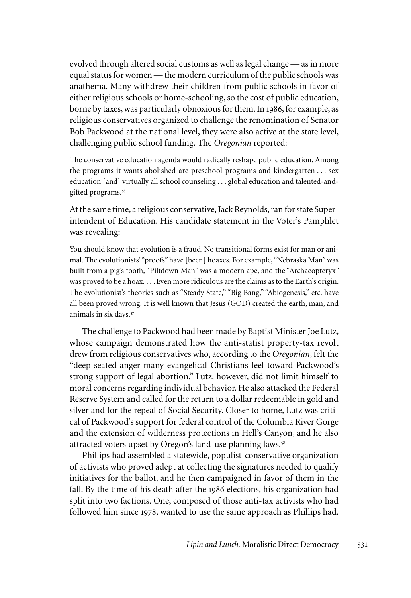evolved through altered social customs as well as legal change — as in more equal status for women — the modern curriculum of the public schools was anathema. Many withdrew their children from public schools in favor of either religious schools or home-schooling, so the cost of public education, borne by taxes, was particularly obnoxious for them. In 1986, for example, as religious conservatives organized to challenge the renomination of Senator Bob Packwood at the national level, they were also active at the state level, challenging public school funding. The *Oregonian* reported:

The conservative education agenda would radically reshape public education. Among the programs it wants abolished are preschool programs and kindergarten . . . sex education [and] virtually all school counseling . . . global education and talented-andgifted programs.<sup>56</sup>

At the same time, a religious conservative, Jack Reynolds, ran for state Superintendent of Education. His candidate statement in the Voter's Pamphlet was revealing:

You should know that evolution is a fraud. No transitional forms exist for man or animal. The evolutionists' "proofs" have [been] hoaxes. For example, "Nebraska Man" was built from a pig's tooth, "Piltdown Man" was a modern ape, and the "Archaeopteryx" was proved to be a hoax. . . . Even more ridiculous are the claims as to the Earth's origin. The evolutionist's theories such as "Steady State," "Big Bang," "Abiogenesis," etc. have all been proved wrong. It is well known that Jesus (GOD) created the earth, man, and animals in six days.<sup>57</sup>

The challenge to Packwood had been made by Baptist Minister Joe Lutz, whose campaign demonstrated how the anti-statist property-tax revolt drew from religious conservatives who, according to the *Oregonian*, felt the "deep-seated anger many evangelical Christians feel toward Packwood's strong support of legal abortion." Lutz, however, did not limit himself to moral concerns regarding individual behavior. He also attacked the Federal Reserve System and called for the return to a dollar redeemable in gold and silver and for the repeal of Social Security. Closer to home, Lutz was critical of Packwood's support for federal control of the Columbia River Gorge and the extension of wilderness protections in Hell's Canyon, and he also attracted voters upset by Oregon's land-use planning laws.<sup>58</sup>

Phillips had assembled a statewide, populist-conservative organization of activists who proved adept at collecting the signatures needed to qualify initiatives for the ballot, and he then campaigned in favor of them in the fall. By the time of his death after the 1986 elections, his organization had split into two factions. One, composed of those anti-tax activists who had followed him since 1978, wanted to use the same approach as Phillips had.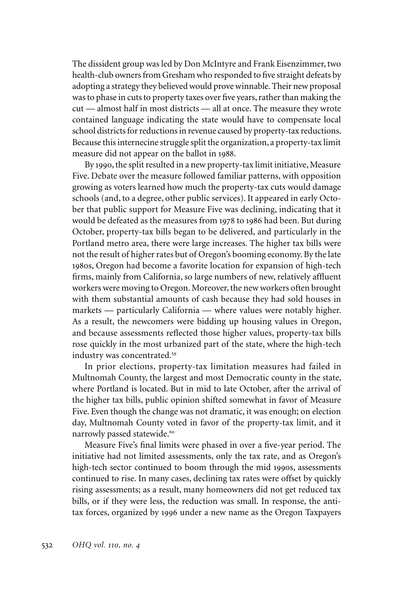The dissident group was led by Don McIntyre and Frank Eisenzimmer, two health-club owners from Gresham who responded to five straight defeats by adopting a strategy they believed would prove winnable. Their new proposal was to phase in cuts to property taxes over five years, rather than making the cut — almost half in most districts — all at once. The measure they wrote contained language indicating the state would have to compensate local school districts for reductions in revenue caused by property-tax reductions. Because this internecine struggle split the organization, a property-tax limit measure did not appear on the ballot in 1988.

By 1990, the split resulted in a new property-tax limit initiative, Measure Five. Debate over the measure followed familiar patterns, with opposition growing as voters learned how much the property-tax cuts would damage schools (and, to a degree, other public services). It appeared in early October that public support for Measure Five was declining, indicating that it would be defeated as the measures from 1978 to 1986 had been. But during October, property-tax bills began to be delivered, and particularly in the Portland metro area, there were large increases. The higher tax bills were not the result of higher rates but of Oregon's booming economy. By the late 1980s, Oregon had become a favorite location for expansion of high-tech firms, mainly from California, so large numbers of new, relatively affluent workers were moving to Oregon. Moreover, the new workers often brought with them substantial amounts of cash because they had sold houses in markets — particularly California — where values were notably higher. As a result, the newcomers were bidding up housing values in Oregon, and because assessments reflected those higher values, property-tax bills rose quickly in the most urbanized part of the state, where the high-tech industry was concentrated.<sup>59</sup>

In prior elections, property-tax limitation measures had failed in Multnomah County, the largest and most Democratic county in the state, where Portland is located. But in mid to late October, after the arrival of the higher tax bills, public opinion shifted somewhat in favor of Measure Five. Even though the change was not dramatic, it was enough; on election day, Multnomah County voted in favor of the property-tax limit, and it narrowly passed statewide.<sup>60</sup>

Measure Five's final limits were phased in over a five-year period. The initiative had not limited assessments, only the tax rate, and as Oregon's high-tech sector continued to boom through the mid 1990s, assessments continued to rise. In many cases, declining tax rates were offset by quickly rising assessments; as a result, many homeowners did not get reduced tax bills, or if they were less, the reduction was small. In response, the antitax forces, organized by 1996 under a new name as the Oregon Taxpayers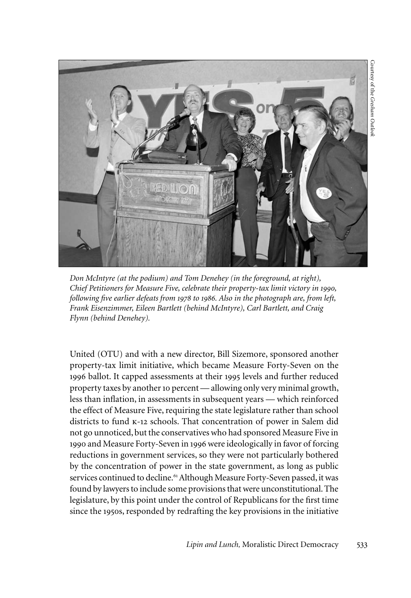

*Don McIntyre (at the podium) and Tom Denehey (in the foreground, at right), Chief Petitioners for Measure Five, celebrate their property-tax limit victory in 1990, following five earlier defeats from 1978 to 1986. Also in the photograph are, from left, Frank Eisenzimmer, Eileen Bartlett (behind McIntyre), Carl Bartlett, and Craig Flynn (behind Denehey).*

United (OTU) and with a new director, Bill Sizemore, sponsored another property-tax limit initiative, which became Measure Forty-Seven on the 1996 ballot. It capped assessments at their 1995 levels and further reduced property taxes by another 10 percent — allowing only very minimal growth, less than inflation, in assessments in subsequent years — which reinforced the effect of Measure Five, requiring the state legislature rather than school districts to fund k-12 schools. That concentration of power in Salem did not go unnoticed, but the conservatives who had sponsored Measure Five in 1990 and Measure Forty-Seven in 1996 were ideologically in favor of forcing reductions in government services, so they were not particularly bothered by the concentration of power in the state government, as long as public services continued to decline.<sup>61</sup> Although Measure Forty-Seven passed, it was found by lawyers to include some provisions that were unconstitutional. The legislature, by this point under the control of Republicans for the first time since the 1950s, responded by redrafting the key provisions in the initiative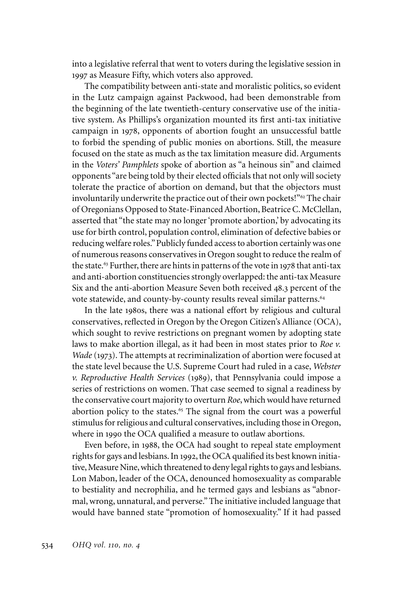into a legislative referral that went to voters during the legislative session in 1997 as Measure Fifty, which voters also approved.

The compatibility between anti-state and moralistic politics, so evident in the Lutz campaign against Packwood, had been demonstrable from the beginning of the late twentieth-century conservative use of the initiative system. As Phillips's organization mounted its first anti-tax initiative campaign in 1978, opponents of abortion fought an unsuccessful battle to forbid the spending of public monies on abortions. Still, the measure focused on the state as much as the tax limitation measure did. Arguments in the *Voters' Pamphlets* spoke of abortion as "a heinous sin" and claimed opponents "are being told by their elected officials that not only will society tolerate the practice of abortion on demand, but that the objectors must involuntarily underwrite the practice out of their own pockets!"<sup>62</sup> The chair of Oregonians Opposed to State-Financed Abortion, Beatrice C. McClellan, asserted that "the state may no longer 'promote abortion,' by advocating its use for birth control, population control, elimination of defective babies or reducing welfare roles." Publicly funded access to abortion certainly was one of numerous reasons conservatives in Oregon sought to reduce the realm of the state.<sup>63</sup> Further, there are hints in patterns of the vote in 1978 that anti-tax and anti-abortion constituencies strongly overlapped: the anti-tax Measure Six and the anti-abortion Measure Seven both received 48.3 percent of the vote statewide, and county-by-county results reveal similar patterns.<sup>64</sup>

In the late 1980s, there was a national effort by religious and cultural conservatives, reflected in Oregon by the Oregon Citizen's Alliance (OCA), which sought to revive restrictions on pregnant women by adopting state laws to make abortion illegal, as it had been in most states prior to *Roe v. Wade* (1973). The attempts at recriminalization of abortion were focused at the state level because the U.S. Supreme Court had ruled in a case, *Webster v. Reproductive Health Services* (1989), that Pennsylvania could impose a series of restrictions on women. That case seemed to signal a readiness by the conservative court majority to overturn *Roe*, which would have returned abortion policy to the states.<sup>65</sup> The signal from the court was a powerful stimulus for religious and cultural conservatives, including those in Oregon, where in 1990 the OCA qualified a measure to outlaw abortions.

Even before, in 1988, the OCA had sought to repeal state employment rights for gays and lesbians. In 1992, the OCA qualified its best known initiative, Measure Nine, which threatened to deny legal rights to gays and lesbians. Lon Mabon, leader of the OCA, denounced homosexuality as comparable to bestiality and necrophilia, and he termed gays and lesbians as "abnormal, wrong, unnatural, and perverse." The initiative included language that would have banned state "promotion of homosexuality." If it had passed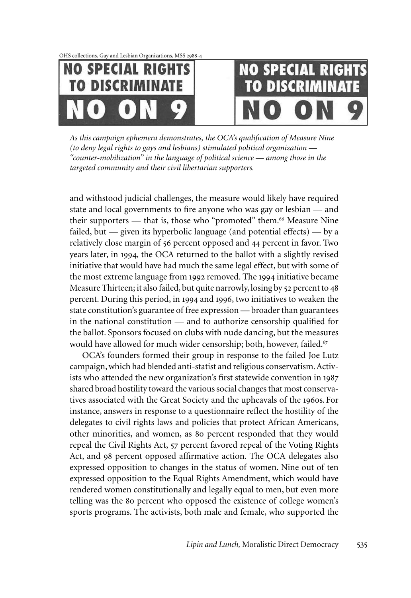OHS collections, Gay and Lesbian Organizations, MSS 2988-4



# **NO SPECIAL RIGHT TO DISCRIMINATE**

*As this campaign ephemera demonstrates, the OCA's qualification of Measure Nine (to deny legal rights to gays and lesbians) stimulated political organization — "counter-mobilization" in the language of political science — among those in the targeted community and their civil libertarian supporters.* 

and withstood judicial challenges, the measure would likely have required state and local governments to fire anyone who was gay or lesbian — and their supporters — that is, those who "promoted" them.<sup>66</sup> Measure Nine failed, but — given its hyperbolic language (and potential effects) — by a relatively close margin of 56 percent opposed and 44 percent in favor. Two years later, in 1994, the OCA returned to the ballot with a slightly revised initiative that would have had much the same legal effect, but with some of the most extreme language from 1992 removed. The 1994 initiative became Measure Thirteen; it also failed, but quite narrowly, losing by 52 percent to 48 percent. During this period, in 1994 and 1996, two initiatives to weaken the state constitution's guarantee of free expression — broader than guarantees in the national constitution — and to authorize censorship qualified for the ballot. Sponsors focused on clubs with nude dancing, but the measures would have allowed for much wider censorship; both, however, failed.<sup>67</sup>

OCA's founders formed their group in response to the failed Joe Lutz campaign, which had blended anti-statist and religious conservatism. Activists who attended the new organization's first statewide convention in 1987 shared broad hostility toward the various social changes that most conservatives associated with the Great Society and the upheavals of the 1960s.For instance, answers in response to a questionnaire reflect the hostility of the delegates to civil rights laws and policies that protect African Americans, other minorities, and women, as 80 percent responded that they would repeal the Civil Rights Act, 57 percent favored repeal of the Voting Rights Act, and 98 percent opposed affirmative action. The OCA delegates also expressed opposition to changes in the status of women. Nine out of ten expressed opposition to the Equal Rights Amendment, which would have rendered women constitutionally and legally equal to men, but even more telling was the 80 percent who opposed the existence of college women's sports programs. The activists, both male and female, who supported the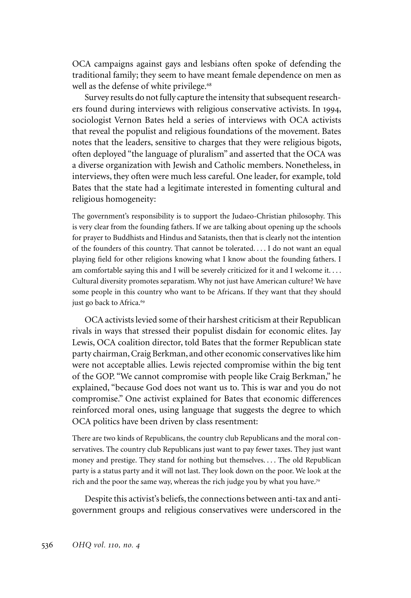OCA campaigns against gays and lesbians often spoke of defending the traditional family; they seem to have meant female dependence on men as well as the defense of white privilege.<sup>68</sup>

Survey results do not fully capture the intensity that subsequent researchers found during interviews with religious conservative activists. In 1994, sociologist Vernon Bates held a series of interviews with OCA activists that reveal the populist and religious foundations of the movement. Bates notes that the leaders, sensitive to charges that they were religious bigots, often deployed "the language of pluralism" and asserted that the OCA was a diverse organization with Jewish and Catholic members. Nonetheless, in interviews, they often were much less careful. One leader, for example, told Bates that the state had a legitimate interested in fomenting cultural and religious homogeneity:

The government's responsibility is to support the Judaeo-Christian philosophy. This is very clear from the founding fathers. If we are talking about opening up the schools for prayer to Buddhists and Hindus and Satanists, then that is clearly not the intention of the founders of this country. That cannot be tolerated. . . . I do not want an equal playing field for other religions knowing what I know about the founding fathers. I am comfortable saying this and I will be severely criticized for it and I welcome it. . . . Cultural diversity promotes separatism. Why not just have American culture? We have some people in this country who want to be Africans. If they want that they should just go back to Africa.<sup>69</sup>

OCA activists levied some of their harshest criticism at their Republican rivals in ways that stressed their populist disdain for economic elites. Jay Lewis, OCA coalition director, told Bates that the former Republican state party chairman, Craig Berkman, and other economic conservatives like him were not acceptable allies. Lewis rejected compromise within the big tent of the GOP. "We cannot compromise with people like Craig Berkman," he explained, "because God does not want us to. This is war and you do not compromise." One activist explained for Bates that economic differences reinforced moral ones, using language that suggests the degree to which OCA politics have been driven by class resentment:

There are two kinds of Republicans, the country club Republicans and the moral conservatives. The country club Republicans just want to pay fewer taxes. They just want money and prestige. They stand for nothing but themselves. . . . The old Republican party is a status party and it will not last. They look down on the poor. We look at the rich and the poor the same way, whereas the rich judge you by what you have.<sup>70</sup>

Despite this activist's beliefs, the connections between anti-tax and antigovernment groups and religious conservatives were underscored in the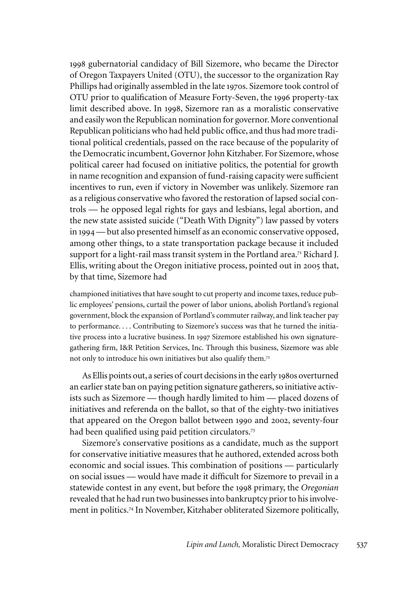1998 gubernatorial candidacy of Bill Sizemore, who became the Director of Oregon Taxpayers United (OTU), the successor to the organization Ray Phillips had originally assembled in the late 1970s. Sizemore took control of OTU prior to qualification of Measure Forty-Seven, the 1996 property-tax limit described above. In 1998, Sizemore ran as a moralistic conservative and easily won the Republican nomination for governor. More conventional Republican politicians who had held public office, and thus had more traditional political credentials, passed on the race because of the popularity of the Democratic incumbent, Governor John Kitzhaber. For Sizemore, whose political career had focused on initiative politics, the potential for growth in name recognition and expansion of fund-raising capacity were sufficient incentives to run, even if victory in November was unlikely. Sizemore ran as a religious conservative who favored the restoration of lapsed social controls — he opposed legal rights for gays and lesbians, legal abortion, and the new state assisted suicide ("Death With Dignity") law passed by voters in 1994 — but also presented himself as an economic conservative opposed, among other things, to a state transportation package because it included support for a light-rail mass transit system in the Portland area.<sup>71</sup> Richard J. Ellis, writing about the Oregon initiative process, pointed out in 2005 that, by that time, Sizemore had

championed initiatives that have sought to cut property and income taxes, reduce public employees' pensions, curtail the power of labor unions, abolish Portland's regional government, block the expansion of Portland's commuter railway, and link teacher pay to performance. . . . Contributing to Sizemore's success was that he turned the initiative process into a lucrative business. In 1997 Sizemore established his own signaturegathering firm, I&R Petition Services, Inc. Through this business, Sizemore was able not only to introduce his own initiatives but also qualify them.<sup>72</sup>

As Ellis points out, a series of court decisions in the early 1980s overturned an earlier state ban on paying petition signature gatherers, so initiative activists such as Sizemore — though hardly limited to him — placed dozens of initiatives and referenda on the ballot, so that of the eighty-two initiatives that appeared on the Oregon ballot between 1990 and 2002, seventy-four had been qualified using paid petition circulators.<sup>73</sup>

Sizemore's conservative positions as a candidate, much as the support for conservative initiative measures that he authored, extended across both economic and social issues. This combination of positions — particularly on social issues — would have made it difficult for Sizemore to prevail in a statewide contest in any event, but before the 1998 primary, the *Oregonian* revealed that he had run two businesses into bankruptcy prior to his involvement in politics.<sup>74</sup> In November, Kitzhaber obliterated Sizemore politically,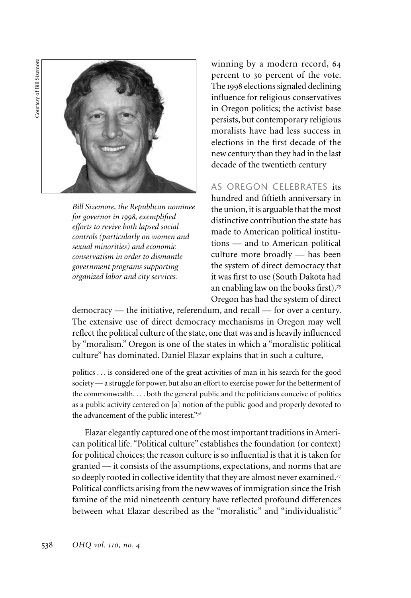Courtesy of Bill Sizemore Courtesy of Bill Sizemore



*Bill Sizemore, the Republican nominee for governor in 1998, exemplified efforts to revive both lapsed social controls (particularly on women and sexual minorities) and economic conservatism in order to dismantle government programs supporting organized labor and city services.*

winning by a modern record, 64 percent to 30 percent of the vote. The 1998 elections signaled declining influence for religious conservatives in Oregon politics; the activist base persists, but contemporary religious moralists have had less success in elections in the first decade of the new century than they had in the last decade of the twentieth century

As Oregon celebrates its hundred and fiftieth anniversary in the union, it is arguable that the most distinctive contribution the state has made to American political institutions — and to American political culture more broadly — has been the system of direct democracy that it was first to use (South Dakota had an enabling law on the books first).<sup>75</sup> Oregon has had the system of direct

democracy — the initiative, referendum, and recall — for over a century. The extensive use of direct democracy mechanisms in Oregon may well reflect the political culture of the state, one that was and is heavily influenced by "moralism." Oregon is one of the states in which a "moralistic political culture" has dominated. Daniel Elazar explains that in such a culture,

politics . . . is considered one of the great activities of man in his search for the good society — a struggle for power, but also an effort to exercise power for the betterment of the commonwealth. . . . both the general public and the politicians conceive of politics as a public activity centered on [a] notion of the public good and properly devoted to the advancement of the public interest."<sup>76</sup>

Elazar elegantly captured one of the most important traditions in American political life. "Political culture" establishes the foundation (or context) for political choices; the reason culture is so influential is that it is taken for granted — it consists of the assumptions, expectations, and norms that are so deeply rooted in collective identity that they are almost never examined.<sup>77</sup> Political conflicts arising from the new waves of immigration since the Irish famine of the mid nineteenth century have reflected profound differences between what Elazar described as the "moralistic" and "individualistic"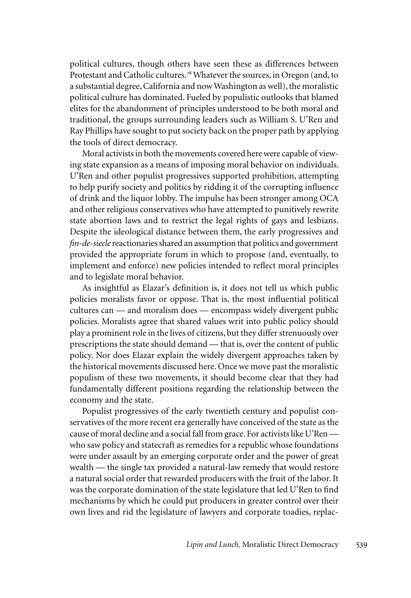political cultures, though others have seen these as differences between Protestant and Catholic cultures.<sup>78</sup> Whatever the sources, in Oregon (and, to a substantial degree, California and now Washington as well), the moralistic political culture has dominated. Fueled by populistic outlooks that blamed elites for the abandonment of principles understood to be both moral and traditional, the groups surrounding leaders such as William S. U'Ren and Ray Phillips have sought to put society back on the proper path by applying the tools of direct democracy.

Moral activists in both the movements covered here were capable of viewing state expansion as a means of imposing moral behavior on individuals. U'Ren and other populist progressives supported prohibition, attempting to help purify society and politics by ridding it of the corrupting influence of drink and the liquor lobby. The impulse has been stronger among OCA and other religious conservatives who have attempted to punitively rewrite state abortion laws and to restrict the legal rights of gays and lesbians. Despite the ideological distance between them, the early progressives and *fin-de-siecle* reactionaries shared an assumption that politics and government provided the appropriate forum in which to propose (and, eventually, to implement and enforce) new policies intended to reflect moral principles and to legislate moral behavior.

As insightful as Elazar's definition is, it does not tell us which public policies moralists favor or oppose. That is, the most influential political cultures can — and moralism does — encompass widely divergent public policies. Moralists agree that shared values writ into public policy should play a prominent role in the lives of citizens, but they differ strenuously over prescriptions the state should demand — that is, over the content of public policy. Nor does Elazar explain the widely divergent approaches taken by the historical movements discussed here. Once we move past the moralistic populism of these two movements, it should become clear that they had fundamentally different positions regarding the relationship between the economy and the state.

Populist progressives of the early twentieth century and populist conservatives of the more recent era generally have conceived of the state as the cause of moral decline and a social fall from grace. For activists like U'Ren who saw policy and statecraft as remedies for a republic whose foundations were under assault by an emerging corporate order and the power of great wealth — the single tax provided a natural-law remedy that would restore a natural social order that rewarded producers with the fruit of the labor. It was the corporate domination of the state legislature that led U'Ren to find mechanisms by which he could put producers in greater control over their own lives and rid the legislature of lawyers and corporate toadies, replac-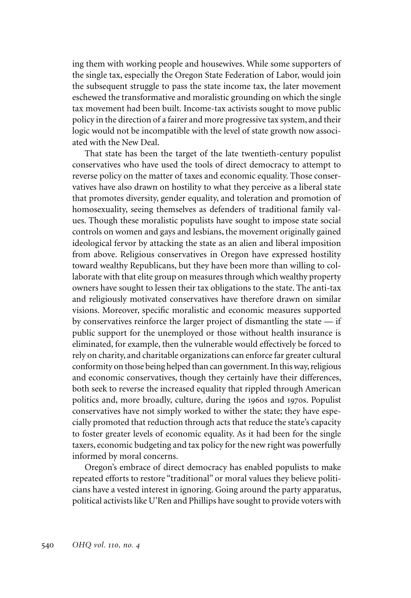ing them with working people and housewives. While some supporters of the single tax, especially the Oregon State Federation of Labor, would join the subsequent struggle to pass the state income tax, the later movement eschewed the transformative and moralistic grounding on which the single tax movement had been built. Income-tax activists sought to move public policy in the direction of a fairer and more progressive tax system, and their logic would not be incompatible with the level of state growth now associated with the New Deal.

That state has been the target of the late twentieth-century populist conservatives who have used the tools of direct democracy to attempt to reverse policy on the matter of taxes and economic equality. Those conservatives have also drawn on hostility to what they perceive as a liberal state that promotes diversity, gender equality, and toleration and promotion of homosexuality, seeing themselves as defenders of traditional family values. Though these moralistic populists have sought to impose state social controls on women and gays and lesbians, the movement originally gained ideological fervor by attacking the state as an alien and liberal imposition from above. Religious conservatives in Oregon have expressed hostility toward wealthy Republicans, but they have been more than willing to collaborate with that elite group on measures through which wealthy property owners have sought to lessen their tax obligations to the state. The anti-tax and religiously motivated conservatives have therefore drawn on similar visions. Moreover, specific moralistic and economic measures supported by conservatives reinforce the larger project of dismantling the state — if public support for the unemployed or those without health insurance is eliminated, for example, then the vulnerable would effectively be forced to rely on charity, and charitable organizations can enforce far greater cultural conformity on those being helped than can government. In this way, religious and economic conservatives, though they certainly have their differences, both seek to reverse the increased equality that rippled through American politics and, more broadly, culture, during the 1960s and 1970s. Populist conservatives have not simply worked to wither the state; they have especially promoted that reduction through acts that reduce the state's capacity to foster greater levels of economic equality. As it had been for the single taxers, economic budgeting and tax policy for the new right was powerfully informed by moral concerns.

Oregon's embrace of direct democracy has enabled populists to make repeated efforts to restore "traditional" or moral values they believe politicians have a vested interest in ignoring. Going around the party apparatus, political activists like U'Ren and Phillips have sought to provide voters with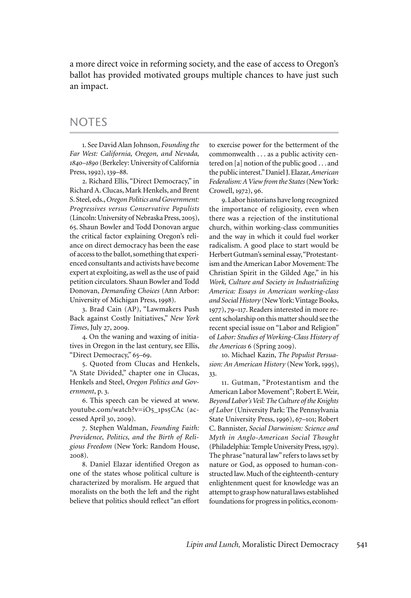a more direct voice in reforming society, and the ease of access to Oregon's ballot has provided motivated groups multiple chances to have just such an impact.

#### **NOTES**

1. See David Alan Johnson, *Founding the Far West: California, Oregon, and Nevada, 1840–1890* (Berkeley: University of California Press, 1992), 139–88.

2. Richard Ellis, "Direct Democracy," in Richard A. Clucas, Mark Henkels, and Brent S. Steel, eds., *Oregon Politics and Government: Progressives versus Conservative Populists* (Lincoln: University of Nebraska Press, 2005), 65. Shaun Bowler and Todd Donovan argue the critical factor explaining Oregon's reliance on direct democracy has been the ease of access to the ballot, something that experienced consultants and activists have become expert at exploiting, as well as the use of paid petition circulators. Shaun Bowler and Todd Donovan, *Demanding Choices* (Ann Arbor: University of Michigan Press, 1998).

3. Brad Cain (AP), "Lawmakers Push Back against Costly Initiatives," *New York Times*, July 27, 2009.

4. On the waning and waxing of initiatives in Oregon in the last century, see Ellis, "Direct Democracy," 65–69.

5. Quoted from Clucas and Henkels, "A State Divided," chapter one in Clucas, Henkels and Steel, *Oregon Politics and Government*, p. 3.

6. This speech can be viewed at www. youtube.com/watch?v=iO5\_1ps5CAc (accessed April 30, 2009).

7. Stephen Waldman, *Founding Faith: Providence, Politics, and the Birth of Religious Freedom* (New York: Random House, 2008).

8. Daniel Elazar identified Oregon as one of the states whose political culture is characterized by moralism. He argued that moralists on the both the left and the right believe that politics should reflect "an effort to exercise power for the betterment of the commonwealth . . . as a public activity centered on [a] notion of the public good . . . and the public interest." Daniel J. Elazar, *American Federalism: A View from the States* (New York: Crowell, 1972), 96.

9. Labor historians have long recognized the importance of religiosity, even when there was a rejection of the institutional church, within working-class communities and the way in which it could fuel worker radicalism. A good place to start would be Herbert Gutman's seminal essay, "Protestantism and the American Labor Movement: The Christian Spirit in the Gilded Age," in his *Work, Culture and Society in Industrializing America: Essays in American working-class and Social History* (New York: Vintage Books, 1977), 79–117. Readers interested in more recent scholarship on this matter should see the recent special issue on "Labor and Religion" of *Labor: Studies of Working-Class History of the Americas* 6 (Spring 2009).

10. Michael Kazin, *The Populist Persuasion: An American History* (New York, 1995), 33.

11. Gutman, "Protestantism and the American Labor Movement"; Robert E. Weir, *Beyond Labor's Veil: The Culture of the Knights of Labor* (University Park: The Pennsylvania State University Press, 1996), 67–101; Robert C. Bannister, *Social Darwinism: Science and Myth in Anglo-American Social Thought* (Philadelphia: Temple University Press, 1979). The phrase "natural law" refers to laws set by nature or God, as opposed to human-constructed law. Much of the eighteenth-century enlightenment quest for knowledge was an attempt to grasp how natural laws established foundations for progress in politics, econom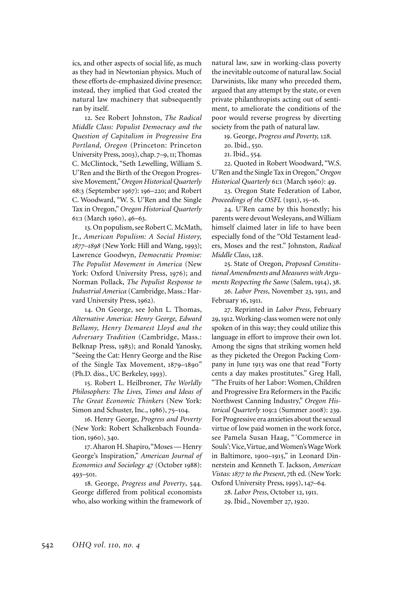ics, and other aspects of social life, as much as they had in Newtonian physics. Much of these efforts de-emphasized divine presence; instead, they implied that God created the natural law machinery that subsequently ran by itself.

12. See Robert Johnston, *The Radical Middle Class: Populist Democracy and the Question of Capitalism in Progressive Era Portland, Oregon* (Princeton: Princeton University Press, 2003), chap. 7–9, 11; Thomas C. McClintock, "Seth Lewelling, William S. U'Ren and the Birth of the Oregon Progressive Movement," *Oregon Historical Quarterly* 68:3 (September 1967): 196–220; and Robert C. Woodward, "W. S. U'Ren and the Single Tax in Oregon," *Oregon Historical Quarterly* 61:1 (March 1960), 46–63.

13. On populism, see Robert C. McMath, Jr., *American Populism: A Social History, 1877–1898* (New York: Hill and Wang, 1993); Lawrence Goodwyn, *Democratic Promise: The Populist Movement in America* (New York: Oxford University Press, 1976); and Norman Pollack, *The Populist Response to Industrial America* (Cambridge, Mass.: Harvard University Press, 1962).

14. On George, see John L. Thomas, *Alternative America: Henry George, Edward Bellamy, Henry Demarest Lloyd and the Adversary Tradition* (Cambridge, Mass.: Belknap Press, 1983); and Ronald Yanosky, "Seeing the Cat: Henry George and the Rise of the Single Tax Movement, 1879–1890" (Ph.D. diss., UC Berkeley, 1993).

15. Robert L. Heilbroner, *The Worldly Philosophers: The Lives, Times and Ideas of The Great Economic Thinkers* (New York: Simon and Schuster, Inc., 1986), 75–104.

16. Henry George, *Progress and Poverty* (New York: Robert Schalkenbach Foundation, 1960), 340.

17. Aharon H. Shapiro, "Moses — Henry George's Inspiration," *American Journal of Economics and Sociology* 47 (October 1988): 493–501.

18. George, *Progress and Poverty*, 544. George differed from political economists who, also working within the framework of

natural law, saw in working-class poverty the inevitable outcome of natural law. Social Darwinists, like many who preceded them, argued that any attempt by the state, or even private philanthropists acting out of sentiment, to ameliorate the conditions of the poor would reverse progress by diverting society from the path of natural law.

19. George, *Progress and Poverty,* 128.

20. Ibid., 550.

21. Ibid., 554.

22. Quoted in Robert Woodward, "W.S. U'Ren and the Single Tax in Oregon," *Oregon Historical Quarterly* 61:1 (March 1960): 49.

23. Oregon State Federation of Labor, *Proceedings of the OSFL* (1911), 15–16.

24. U'Ren came by this honestly; his parents were devout Wesleyans, and William himself claimed later in life to have been especially fond of the "Old Testament leaders, Moses and the rest." Johnston, *Radical Middle Class*, 128.

25. State of Oregon, *Proposed Constitutional Amendments and Measures with Arguments Respecting the Same* (Salem, 1914), 38.

26. *Labor Press*, November 23, 1911, and February 16, 1911.

27. Reprinted in *Labor Press*, February 29, 1912. Working-class women were not only spoken of in this way; they could utilize this language in effort to improve their own lot. Among the signs that striking women held as they picketed the Oregon Packing Company in June 1913 was one that read "Forty cents a day makes prostitutes." Greg Hall, "The Fruits of her Labor: Women, Children and Progressive Era Reformers in the Pacific Northwest Canning Industry," *Oregon Historical Quarterly* 109:2 (Summer 2008): 239. For Progressive era anxieties about the sexual virtue of low paid women in the work force, see Pamela Susan Haag, " 'Commerce in Souls': Vice, Virtue, and Women's Wage Work in Baltimore, 1900–1915," in Leonard Dinnerstein and Kenneth T. Jackson, *American Vistas: 1877 to the Present*, 7th ed. (New York: Oxford University Press, 1995), 147–64.

28. *Labor Press*, October 12, 1911. 29. Ibid., November 27, 1920.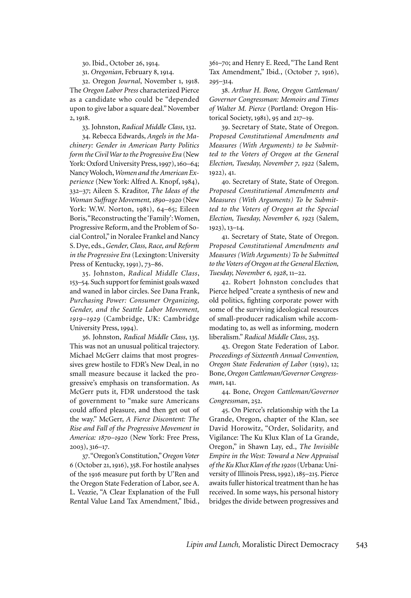30. Ibid., October 26, 1914.

31. *Oregonian*, February 8, 1914.

32. Oregon *Journal*, November 1, 1918. The *Oregon Labor Press* characterized Pierce as a candidate who could be "depended upon to give labor a square deal." November 2, 1918.

33. Johnston, *Radical Middle Class*, 132.

34. Rebecca Edwards, *Angels in the Machinery: Gender in American Party Politics form the Civil War to the Progressive Era* (New York: Oxford University Press, 1997), 160–64; Nancy Woloch, *Women and the American Experience* (New York: Alfred A. Knopf, 1984), 332–37; Aileen S. Kraditor, *The Ideas of the Woman Suffrage Movement, 1890–1920* (New York: W.W. Norton, 1981), 64–65; Eileen Boris, "Reconstructing the 'Family': Women, Progressive Reform, and the Problem of Social Control," in Noralee Frankel and Nancy S. Dye, eds., *Gender, Class, Race, and Reform in the Progressive Era* (Lexington: University Press of Kentucky, 1991), 73–86.

35. Johnston, *Radical Middle Class*, 153–54. Such support for feminist goals waxed and waned in labor circles. See Dana Frank, *Purchasing Power: Consumer Organizing, Gender, and the Seattle Labor Movement, 1919–1929* (Cambridge, UK: Cambridge University Press, 1994).

36. Johnston, *Radical Middle Class*, 135. This was not an unusual political trajectory. Michael McGerr claims that most progressives grew hostile to FDR's New Deal, in no small measure because it lacked the progressive's emphasis on transformation. As McGerr puts it, FDR understood the task of government to "make sure Americans could afford pleasure, and then get out of the way." McGerr, *A Fierce Discontent: The Rise and Fall of the Progressive Movement in America: 1870–1920* (New York: Free Press, 2003), 316–17.

37. "Oregon's Constitution," *Oregon Voter*  6 (October 21, 1916), 358. For hostile analyses of the 1916 measure put forth by U'Ren and the Oregon State Federation of Labor, see A. L. Veazie, "A Clear Explanation of the Full Rental Value Land Tax Amendment," Ibid*.*, 361–70; and Henry E. Reed, "The Land Rent Tax Amendment," Ibid*.*, (October 7, 1916), 295–314.

38. *Arthur H. Bone, Oregon Cattleman/ Governor Congressman: Memoirs and Times of Walter M. Pierce* (Portland: Oregon Historical Society, 1981), 95 and 217–19.

39. Secretary of State, State of Oregon. *Proposed Constitutional Amendments and Measures (With Arguments) to be Submitted to the Voters of Oregon at the General Election, Tuesday, November 7, 1922* (Salem, 1922), 41.

40. Secretary of State, State of Oregon. *Proposed Constitutional Amendments and Measures (With Arguments) To be Submitted to the Voters of Oregon at the Special Election, Tuesday, November 6, 1923* (Salem, 1923), 13–14.

41. Secretary of State, State of Oregon. *Proposed Constitutional Amendments and Measures (With Arguments) To be Submitted to the Voters of Oregon at the General Election, Tuesday, November 6, 1928*, 11–22.

42. Robert Johnston concludes that Pierce helped "create a synthesis of new and old politics, fighting corporate power with some of the surviving ideological resources of small-producer radicalism while accommodating to, as well as informing, modern liberalism." *Radical Middle Class*, 253.

43. Oregon State Federation of Labor. *Proceedings of Sixteenth Annual Convention, Oregon State Federation of Labor* (1919), 12; Bone, *Oregon Cattleman/Governor Congressman*, 141.

44. Bone, *Oregon Cattleman/Governor Congressman*, 252.

45. On Pierce's relationship with the La Grande, Oregon, chapter of the Klan, see David Horowitz, "Order, Solidarity, and Vigilance: The Ku Klux Klan of La Grande, Oregon," in Shawn Lay, ed., *The Invisible Empire in the West: Toward a New Appraisal of the Ku Klux Klan of the 1920s* (Urbana: University of Illinois Press, 1992), 185–215. Pierce awaits fuller historical treatment than he has received. In some ways, his personal history bridges the divide between progressives and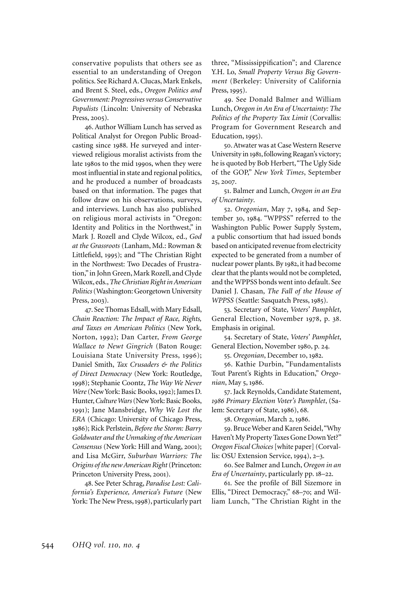conservative populists that others see as essential to an understanding of Oregon politics. See Richard A. Clucas, Mark Enkels, and Brent S. Steel, eds., *Oregon Politics and Government: Progressives versus Conservative Populists* (Lincoln: University of Nebraska Press, 2005).

46. Author William Lunch has served as Political Analyst for Oregon Public Broadcasting since 1988. He surveyed and interviewed religious moralist activists from the late 1980s to the mid 1990s, when they were most influential in state and regional politics, and he produced a number of broadcasts based on that information. The pages that follow draw on his observations, surveys, and interviews. Lunch has also published on religious moral activists in "Oregon: Identity and Politics in the Northwest," in Mark J. Rozell and Clyde Wilcox, ed., *God at the Grassroots* (Lanham, Md.: Rowman & Littlefield, 1995); and "The Christian Right in the Northwest: Two Decades of Frustration," in John Green, Mark Rozell, and Clyde Wilcox, eds., *The Christian Right in American Politics* (Washington: Georgetown University Press, 2003).

47. See Thomas Edsall, with Mary Edsall, *Chain Reaction: The Impact of Race, Rights, and Taxes on American Politics* (New York, Norton, 1992); Dan Carter, *From George Wallace to Newt Gingrich* (Baton Rouge: Louisiana State University Press, 1996); Daniel Smith, *Tax Crusaders & the Politics of Direct Democracy* (New York: Routledge, 1998); Stephanie Coontz, *The Way We Never Were* (New York: Basic Books, 1992); James D. Hunter, *Culture Wars* (New York: Basic Books, 1991); Jane Mansbridge, *Why We Lost the ERA* (Chicago: University of Chicago Press, 1986); Rick Perlstein, *Before the Storm: Barry Goldwater and the Unmaking of the American Consensus* (New York: Hill and Wang, 2001); and Lisa McGirr, *Suburban Warriors: The Origins of the new American Right* (Princeton: Princeton University Press, 2001).

48. See Peter Schrag, *Paradise Lost: California's Experience, America's Future* (New York: The New Press, 1998), particularly part three, "Mississippification"; and Clarence Y.H. Lo, *Small Property Versus Big Government* (Berkeley: University of California Press, 1995).

49. See Donald Balmer and William Lunch, *Oregon in An Era of Uncertainty: The Politics of the Property Tax Limit* (Corvallis: Program for Government Research and Education, 1995).

50. Atwater was at Case Western Reserve University in 1981, following Reagan's victory; he is quoted by Bob Herbert, "The Ugly Side of the GOP," *New York Times*, September 25, 2007.

51. Balmer and Lunch, *Oregon in an Era of Uncertainty*.

52. *Oregonian*, May 7, 1984, and September 30, 1984. "WPPSS" referred to the Washington Public Power Supply System, a public consortium that had issued bonds based on anticipated revenue from electricity expected to be generated from a number of nuclear power plants. By 1982, it had become clear that the plants would not be completed, and the WPPSS bonds went into default. See Daniel J. Chasan, *The Fall of the House of WPPSS* (Seattle: Sasquatch Press, 1985).

53. Secretary of State, *Voters' Pamphlet*, General Election, November 1978, p. 38. Emphasis in original.

54. Secretary of State, *Voters' Pamphlet*, General Election, November 1980, p. 24.

55. *Oregonian*, December 10, 1982.

56. Kathie Durbin, "Fundamentalists Tout Parent's Rights in Education," *Oregonian*, May 5, 1986.

57. Jack Reynolds, Candidate Statement, *1986 Primary Election Voter's Pamphlet*, (Salem: Secretary of State, 1986), 68.

58. *Oregonian*, March 2, 1986.

59. Bruce Weber and Karen Seidel, "Why Haven't My Property Taxes Gone Down Yet?" *Oregon Fiscal Choices* [white paper] (Corvallis: OSU Extension Service, 1994), 2–3.

60. See Balmer and Lunch, *Oregon in an Era of Uncertainty*, particularly pp. 18–22.

61. See the profile of Bill Sizemore in Ellis, "Direct Democracy," 68–70; and William Lunch, "The Christian Right in the